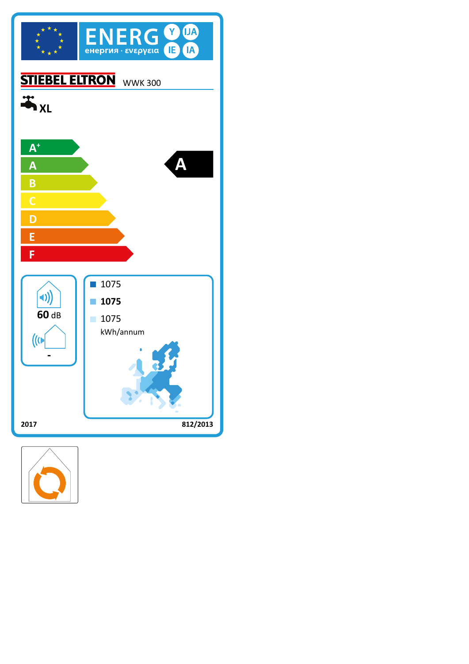